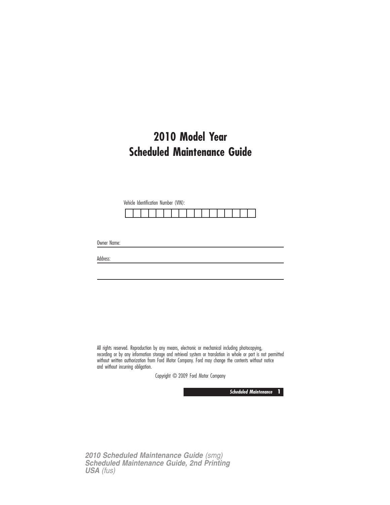# **2010 Model Year Scheduled Maintenance Guide**

Vehicle Identification Number (VIN):

Owner Name:

Address:

All rights reserved. Reproduction by any means, electronic or mechanical including photocopying, recording or by any information storage and retrieval system or translation in whole or part is not permitted without written authorization from Ford Motor Company. Ford may change the contents without notice and without incurring obligation.

Copyright © 2009 Ford Motor Company

**Scheduled Maintenance 1**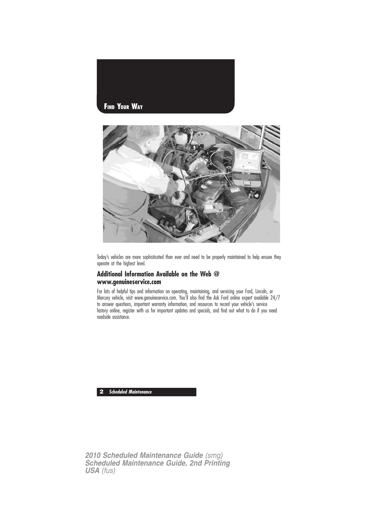



Today's vehicles are more sophisticated than ever and need to be properly maintained to help ensure they operate at the highest level.

## **Additional Information Available on the Web @ www.genuineservice.com**

For lots of helpful tips and information on operating, maintaining, and servicing your Ford, Lincoln, or Mercury vehicle, visit www.genuineservice.com. You'll also find the Ask Ford online expert available 24/7 to answer questions, important warranty information, and resources to record your vehicle's service history online, register with us for important updates and specials, and find out what to do if you need roadside assistance.

**2 Scheduled Maintenance**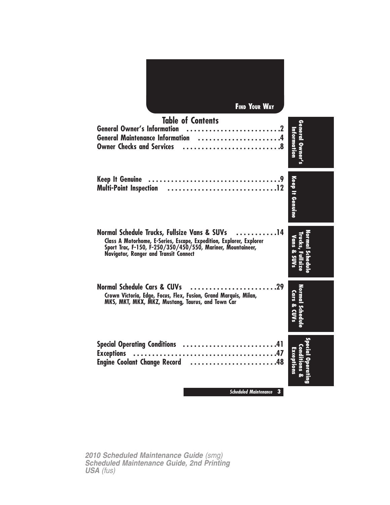| <b>FIND YOUR WAY</b>                                                                                                                                                                                                                                         |                                |
|--------------------------------------------------------------------------------------------------------------------------------------------------------------------------------------------------------------------------------------------------------------|--------------------------------|
| <b>Table of Contents</b><br><b>General Owner's Information</b><br>General Maintenance Information 4<br><b>Owner Checks and Services</b>                                                                                                                      | General Owner's<br>Information |
| <b>Keep It Genuine</b><br><b>Multi-Point Inspection</b>                                                                                                                                                                                                      | Keep It Genuine                |
| $\ldots$ <sup>14</sup><br>Normal Schedule Trucks, Fullsize Vans & SUVs<br>Class A Motorhome, E-Series, Escape, Expedition, Explorer, Explorer<br>Sport Trac, F-150, F-250/350/450/550, Mariner, Mountaineer,<br><b>Navigator, Ranger and Transit Connect</b> | Vans & SUVs                    |
| <b>Normal Schedule Cars &amp; CUVs</b><br>Crown Victoria, Edge, Focus, Flex, Fusion, Grand Marquis, Milan,<br>MKS, MKT, MKX, MKZ, Mustang, Taurus, and Town Car                                                                                              | Cars & CUVs                    |
| <b>Special Operating Conditions</b><br>41<br><b>Exceptions</b><br><b>Engine Coolant Change Record</b><br>.48<br>.                                                                                                                                            | Ê                              |
| <b>Scheduled Maintenance</b><br>$\mathbf{3}$                                                                                                                                                                                                                 |                                |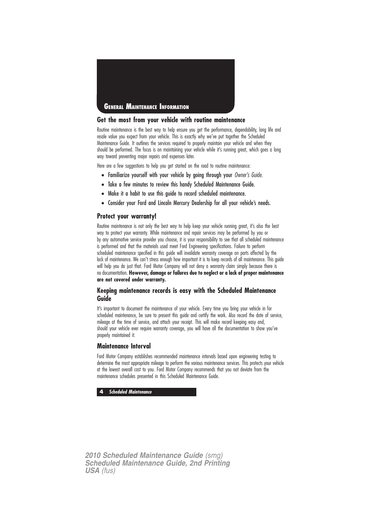

## **Get the most from your vehicle with routine maintenance**

Routine maintenance is the best way to help ensure you get the performance, dependability, long life and resale value you expect from your vehicle. This is exactly why we've put together the Scheduled Maintenance Guide. It outlines the services required to properly maintain your vehicle and when they should be performed. The focus is on maintaining your vehicle while it's running great, which goes a long way toward preventing major repairs and expenses later.

Here are a few suggestions to help you get started on the road to routine maintenance:

- Familiarize yourself with your vehicle by going through your Owner's Guide.
- Take a few minutes to review this handy Scheduled Maintenance Guide.
- Make it a habit to use this guide to record scheduled maintenance.
- Consider your Ford and Lincoln Mercury Dealership for all your vehicle's needs.

### **Protect your warranty!**

Routine maintenance is not only the best way to help keep your vehicle running great, it's also the best way to protect your warranty. While maintenance and repair services may be performed by you or by any automotive service provider you choose, it is your responsibility to see that all scheduled maintenance is performed and that the materials used meet Ford Engineering specifications. Failure to perform scheduled maintenance specified in this guide will invalidate warranty coverage on parts affected by the lack of maintenance. We can't stress enough how important it is to keep records of all maintenance. This guide will help you do just that. Ford Motor Company will not deny a warranty claim simply because there is no documentation. **However, damage or failures due to neglect or a lack of proper maintenance are not covered under warranty.**

## **Keeping maintenance records is easy with the Scheduled Maintenance Guide**

It's important to document the maintenance of your vehicle. Every time you bring your vehicle in for scheduled maintenance, be sure to present this guide and certify the work. Also record the date of service, mileage at the time of service, and attach your receipt. This will make record keeping easy and, should your vehicle ever require warranty coverage, you will have all the documentation to show you've properly maintained it.

## **Maintenance Interval**

Ford Motor Company establishes recommended maintenance intervals based upon engineering testing to determine the most appropriate mileage to perform the various maintenance services. This protects your vehicle at the lowest overall cost to you. Ford Motor Company recommends that you not deviate from the maintenance schedules presented in this Scheduled Maintenance Guide.

**4 Scheduled Maintenance**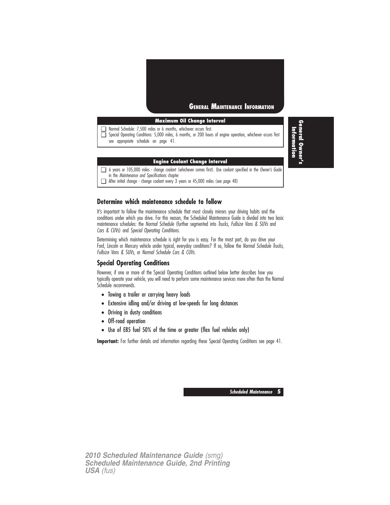

## **Maximum Oil Change Interval**

❑ Normal Schedule: 7,500 miles or 6 months, whichever occurs first.

❑ Special Operating Conditions: 5,000 miles, 6 months, or 200 hours of engine operation, whichever occurs first see appropriate schedule on page 41.

#### **Engine Coolant Change Interval**

❑ 6 years or 105,000 miles - change coolant (whichever comes first). Use coolant specified in the Owner's Guide in the Maintenance and Specifications chapter

❑ After initial change - change coolant every 3 years or 45,000 miles (see page 48)

## **Determine which maintenance schedule to follow**

It's important to follow the maintenance schedule that most closely mirrors your driving habits and the conditions under which you drive. For this reason, the Scheduled Maintenance Guide is divided into two basic maintenance schedules: the Normal Schedule (further segmented into Trucks, Fullsize Vans & SUVs and Cars & CUVs) and Special Operating Conditions.

Determining which maintenance schedule is right for you is easy. For the most part, do you drive your Ford, Lincoln or Mercury vehicle under typical, everyday conditions? If so, follow the Normal Schedule Trucks, Fullsize Vans & SUVs, or Normal Schedule Cars & CUVs.

## **Special Operating Conditions**

However, if one or more of the Special Operating Conditions outlined below better describes how you typically operate your vehicle, you will need to perform some maintenance services more often than the Normal Schedule recommends.

- Towing a trailer or carrying heavy loads
- Extensive idling and/or driving at low-speeds for long distances
- Driving in dusty conditions
- Off-road operation
- Use of E85 fuel 50% of the time or greater (flex fuel vehicles only)

**Important:** For further details and information regarding these Special Operating Conditions see page 41.

**Scheduled Maintenance 5**

*2010 Scheduled Maintenance Guide (smg) Scheduled Maintenance Guide, 2nd Printing USA (fus)*

**General Owner's** Information **Information**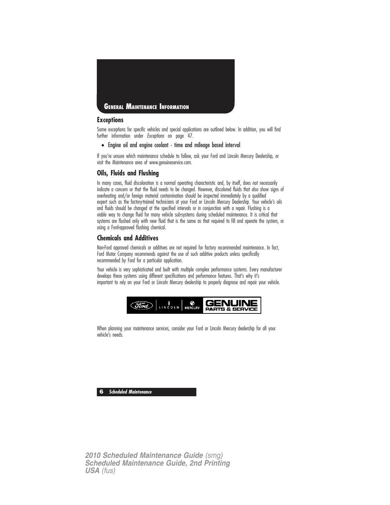

## **Exceptions**

Some exceptions for specific vehicles and special applications are outlined below. In addition, you will find further information under Exceptions on page 47.

• Engine oil and engine coolant - time and mileage based interval

If you're unsure which maintenance schedule to follow, ask your Ford and Lincoln Mercury Dealership, or visit the Maintenance area of www.genuineservice.com.

## **Oils, Fluids and Flushing**

In many cases, fluid discoloration is a normal operating characteristic and, by itself, does not necessarily indicate a concern or that the fluid needs to be changed. However, discolored fluids that also show signs of overheating and/or foreign material contamination should be inspected immediately by a qualified expert such as the factory-trained technicians at your Ford or Lincoln Mercury Dealership. Your vehicle's oils and fluids should be changed at the specified intervals or in conjunction with a repair. Flushing is a viable way to change fluid for many vehicle sub-systems during scheduled maintenance. It is critical that systems are flushed only with new fluid that is the same as that required to fill and operate the system, or using a Ford-approved flushing chemical.

## **Chemicals and Additives**

Non-Ford approved chemicals or additives are not required for factory recommended maintenance. In fact, Ford Motor Company recommends against the use of such additive products unless specifically recommended by Ford for a particular application.

Your vehicle is very sophisticated and built with multiple complex performance systems. Every manufacturer develops these systems using different specifications and performance features. That's why it's important to rely on your Ford or Lincoln Mercury dealership to properly diagnose and repair your vehicle.



When planning your maintenance services, consider your Ford or Lincoln Mercury dealership for all your vehicle's needs.

**6 Scheduled Maintenance**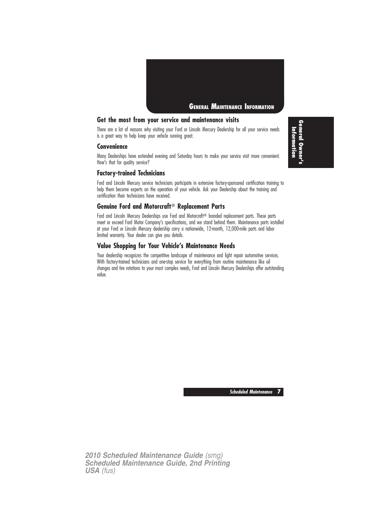

## **Get the most from your service and maintenance visits**

There are a lot of reasons why visiting your Ford or Lincoln Mercury Dealership for all your service needs is a great way to help keep your vehicle running great.

### **Convenience**

Many Dealerships have extended evening and Saturday hours to make your service visit more convenient. How's that for quality service?

## **Factory-trained Technicians**

Ford and Lincoln Mercury service technicians participate in extensive factory-sponsored certification training to help them become experts on the operation of your vehicle. Ask your Dealership about the training and certification their technicians have received.

## **Genuine Ford and Motorcraft Replacement Parts**

Ford and Lincoln Mercury Dealerships use Ford and Motorcraft® branded replacement parts. These parts meet or exceed Ford Motor Company's specifications, and we stand behind them. Maintenance parts installed at your Ford or Lincoln Mercury dealership carry a nationwide, 12-month, 12,000-mile parts and labor limited warranty. Your dealer can give you details.

## **Value Shopping for Your Vehicle's Maintenance Needs**

Your dealership recognizes the competitive landscape of maintenance and light repair automotive services. With factory-trained technicians and one-stop service for everything from routine maintenance like oil changes and tire rotations to your most complex needs, Ford and Lincoln Mercury Dealerships offer outstanding value.

**General Owner's** Information **Information**

**Scheduled Maintenance 7**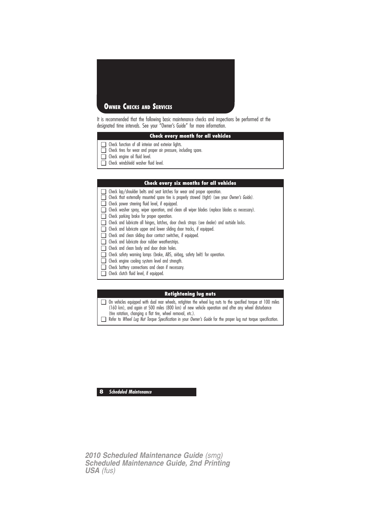

It is recommended that the following basic maintenance checks and inspections be performed at the designated time intervals. See your "Owner's Guide" for more information.

## **Check every month for all vehicles**

- ❑ Check function of all interior and exterior lights.
- ❑ Check tires for wear and proper air pressure, including spare.
- ❑ Check engine oil fluid level.
- ❑ Check windshield washer fluid level.

#### **Check every six months for all vehicles**

- ❑ Check lap/shoulder belts and seat latches for wear and proper operation.
- ❑ Check that externally mounted spare tire is properly stowed (tight) (see your Owner's Guide).
- ❑ Check power steering fluid level, if equipped.
- ❑ Check washer spray, wiper operation, and clean all wiper blades (replace blades as necessary).
- ❑ Check parking brake for proper operation.
- ❑ Check and lubricate all hinges, latches, door check straps (see dealer) and outside locks.
- ❑ Check and lubricate upper and lower sliding door tracks, if equipped.
- ❑ Check and clean sliding door contact switches, if equipped.
- ❑ Check and lubricate door rubber weatherstrips.
- ❑ Check and clean body and door drain holes.
- ❑ Check safety warning lamps (brake, ABS, airbag, safety belt) for operation.
- ❑ Check engine cooling system level and strength.
- ❑ Check battery connections and clean if necessary.
- ❑ Check clutch fluid level, if equipped.

## **Retightening lug nuts**

❑ On vehicles equipped with dual rear wheels, retighten the wheel lug nuts to the specified torque at 100 miles (160 km), and again at 500 miles (800 km) of new vehicle operation and after any wheel disturbance (tire rotation, changing a flat tire, wheel removal, etc.).

❑ Refer to Wheel Lug Nut Torque Specification in your Owner's Guide for the proper lug nut torque specification.

**8 Scheduled Maintenance**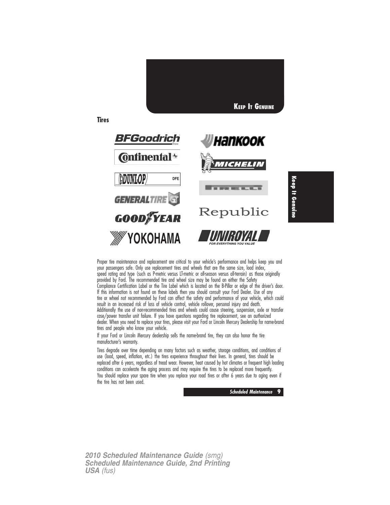

Proper tire maintenance and replacement are critical to your vehicle's performance and helps keep you and your passengers safe. Only use replacement tires and wheels that are the same size, load index, speed rating and type (such as P-metric versus LT-metric or all-season versus all-terrain) as those originally provided by Ford. The recommended tire and wheel size may be found on either the Safety Compliance Certification Label or the Tire Label which is located on the B-Pillar or edge of the driver's door. If this information is not found on these labels then you should consult your Ford Dealer. Use of any tire or wheel not recommended by Ford can affect the safety and performance of your vehicle, which could result in an increased risk of loss of vehicle control, vehicle rollover, personal injury and death. Additionally the use of non-recommended tires and wheels could cause steering, suspension, axle or transfer case/power transfer unit failure. If you have questions regarding tire replacement, see an authorized dealer. When you need to replace your tires, please visit your Ford or Lincoln Mercury Dealership for name-brand tires and people who know your vehicle.

If your Ford or Lincoln Mercury dealership sells the name-brand tire, they can also honor the tire manufacturer's warranty.

Tires degrade over time depending on many factors such as weather, storage conditions, and conditions of use (load, speed, inflation, etc.) the tires experience throughout their lives. In general, tires should be replaced after 6 years, regardless of tread wear. However, heat caused by hot climates or frequent high loading conditions can accelerate the aging process and may require the tires to be replaced more frequently. You should replace your spare tire when you replace your road tires or after 6 years due to aging even if the tire has not been used.

**Scheduled Maintenance 9**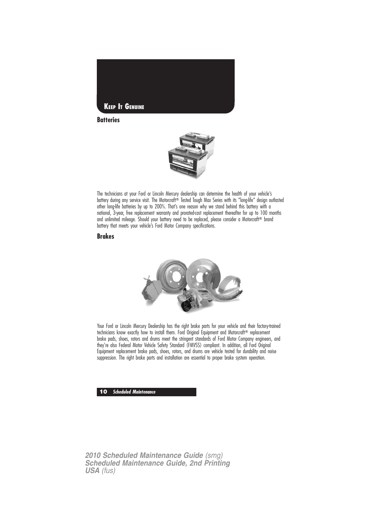

## **Batteries**



The technicians at your Ford or Lincoln Mercury dealership can determine the health of your vehicle's battery during any service visit. The Motorcraft® Tested Tough Max Series with its "long-life" design outlasted other long-life batteries by up to 200%. That's one reason why we stand behind this battery with a national, 3-year, free replacement warranty and prorated-cost replacement thereafter for up to 100 months and unlimited mileage. Should your battery need to be replaced, please consider a Motorcraft® brand battery that meets your vehicle's Ford Motor Company specifications.

## **Brakes**



Your Ford or Lincoln Mercury Dealership has the right brake parts for your vehicle and their factory-trained technicians know exactly how to install them. Ford Original Equipment and Motorcraft<sup>®</sup> replacement brake pads, shoes, rotors and drums meet the stringent standards of Ford Motor Company engineers, and they're also Federal Motor Vehicle Safety Standard (FMVSS) compliant. In addition, all Ford Original Equipment replacement brake pads, shoes, rotors, and drums are vehicle tested for durability and noise suppression. The right brake parts and installation are essential to proper brake system operation.

### **10 Scheduled Maintenance**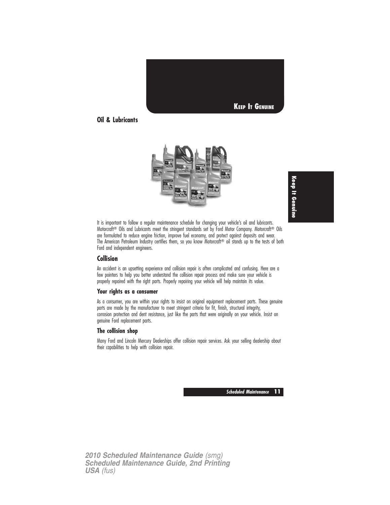

## **Oil & Lubricants**





It is important to follow a regular maintenance schedule for changing your vehicle's oil and lubricants. Motorcraft<sup>®</sup> Oils and Lubricants meet the stringent standards set by Ford Motor Company. Motorcraft<sup>®</sup> Oils are formulated to reduce engine friction, improve fuel economy, and protect against deposits and wear. The American Petroleum Industry certifies them, so you know Motorcraft<sup>®</sup> oil stands up to the tests of both Ford and independent engineers.

## **Collision**

An accident is an upsetting experience and collision repair is often complicated and confusing. Here are a few pointers to help you better understand the collision repair process and make sure your vehicle is properly repaired with the right parts. Properly repairing your vehicle will help maintain its value.

## **Your rights as a consumer**

As a consumer, you are within your rights to insist on original equipment replacement parts. These genuine parts are made by the manufacturer to meet stringent criteria for fit, finish, structural integrity, corrosion protection and dent resistance, just like the parts that were originally on your vehicle. Insist on genuine Ford replacement parts.

## **The collision shop**

Many Ford and Lincoln Mercury Dealerships offer collision repair services. Ask your selling dealership about their capabilities to help with collision repair.

**Scheduled Maintenance 11**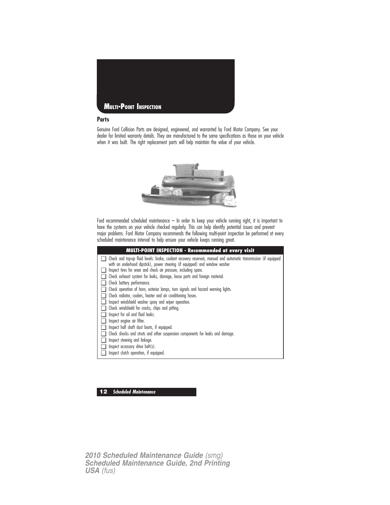

## **Parts**

Genuine Ford Collision Parts are designed, engineered, and warranted by Ford Motor Company. See your dealer for limited warranty details. They are manufactured to the same specifications as those on your vehicle when it was built. The right replacement parts will help maintain the value of your vehicle.



Ford recommended scheduled maintenance – In order to keep your vehicle running right, it is important to have the systems on your vehicle checked regularly. This can help identify potential issues and prevent major problems. Ford Motor Company recommends the following multi-point inspection be performed at every scheduled maintenance interval to help ensure your vehicle keeps running great.

| <b>MULTI-POINT INSPECTION - Recommended at every visit</b>                                                                                                                                                                                                         |  |
|--------------------------------------------------------------------------------------------------------------------------------------------------------------------------------------------------------------------------------------------------------------------|--|
| Check and top-up fluid levels: brake, coolant recovery reservoir, manual and automatic transmission (if equipped<br>with an underhood dipstick), power steering (if equipped) and window washer<br>Inspect tires for wear and check air pressure, including spare. |  |
| Check exhaust system for leaks, damage, loose parts and foreign material.                                                                                                                                                                                          |  |
| Check battery performance.                                                                                                                                                                                                                                         |  |
| Check operation of horn, exterior lamps, turn signals and hazard warning lights.                                                                                                                                                                                   |  |
| Check radiator, coolers, heater and air conditioning hoses.                                                                                                                                                                                                        |  |
| Inspect windshield washer spray and wiper operation.                                                                                                                                                                                                               |  |
| Check windshield for cracks, chips and pitting.                                                                                                                                                                                                                    |  |
| Inspect for oil and fluid leaks.                                                                                                                                                                                                                                   |  |
| Inspect engine air filter.                                                                                                                                                                                                                                         |  |
| Inspect half shaft dust boots, if equipped.                                                                                                                                                                                                                        |  |
| Check shocks and struts and other suspension components for leaks and damage.                                                                                                                                                                                      |  |
| Inspect steering and linkage.                                                                                                                                                                                                                                      |  |
| Inspect accessory drive belt(s).                                                                                                                                                                                                                                   |  |
| Inspect clutch operation, if equipped.                                                                                                                                                                                                                             |  |

### **12 Scheduled Maintenance**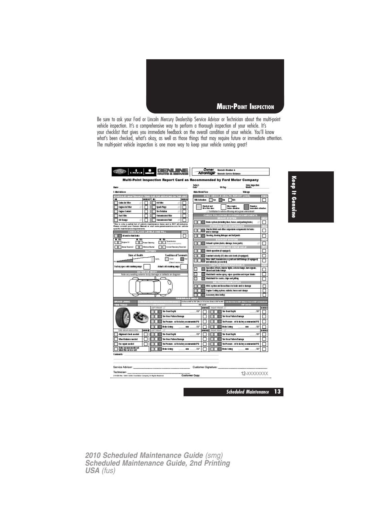

Be sure to ask your Ford or Lincoln Mercury Dealership Service Advisor or Technician about the multi-point vehicle inspection. It's a comprehensive way to perform a thorough inspection of your vehicle. It's your checklist that gives you immediate feedback on the overall condition of your vehicle. You'll know what's been checked, what's okay, as well as those things that may require future or immediate attention. The multi-point vehicle inspection is one more way to keep your vehicle running great!

|                                                                                                                                                                     | <b>Bougarts Service Balance-</b><br>Multi-Point Inspection Report Card as Recommended by Ford Motor Company                               |
|---------------------------------------------------------------------------------------------------------------------------------------------------------------------|-------------------------------------------------------------------------------------------------------------------------------------------|
|                                                                                                                                                                     | Today's<br>Date<br>Sixte inspection                                                                                                       |
| Home-                                                                                                                                                               | <b>FAVEAS</b><br>North                                                                                                                    |
| E-Mail Address:                                                                                                                                                     | Helse Model/Vast:<br><b>Nikone</b>                                                                                                        |
| CHEDULED MAINTEKAN<br>DUE FOR SERVICING ON T<br><b>NRB</b><br>SERGED   ME<br><b>STATE</b><br>œ                                                                      | <b>VEHICLE HEALTH REPORT [VHR]</b><br>EV.<br>WRAdividion<br>l™<br>7m<br>Tres                                                              |
| Cabia Air Filter<br>00 Fifter                                                                                                                                       |                                                                                                                                           |
| Endne Air Etike<br>Spork Place                                                                                                                                      | <b>Cleaders and</b><br>Hay repire<br>Regular<br>Of at this time.<br>tekes situation<br>ing a scholar of land and                          |
| <b>Engine Content</b><br><b>Tre Relation</b>                                                                                                                        | Contributes to noticle efficiency and a green environment                                                                                 |
| <b>Rual Filter</b><br>Transactsston Fifter                                                                                                                          | CHECK FOLLOWING SYSTEMS/COMPONENTS<br>医电线回目<br>1.333                                                                                      |
| Di Change<br><b>Transmission Fluid</b>                                                                                                                              | Brake system (including lines, hoses, and parking brake).                                                                                 |
| This is only a partial list of vehicle maintenance items and is NOT all-inclusive.<br>Please consult your Owners Hanual or visit www.genuineasretox.com for vehicle | <b>STEERING AND SUSPENSION</b><br>аX                                                                                                      |
| apecific maintenance requirements.<br>CHECK FLUID LEVELS AND FILL                                                                                                   | Shecks/struts and other suspension components for leaks.<br>and/or damage                                                                 |
| Oil and/or that leaks.                                                                                                                                              | Slassing, sheeting indexpos and halfpinits                                                                                                |
| 東田<br>ण<br>m u<br>Transmission                                                                                                                                      | <b>EXHAUST SYSTEM</b>                                                                                                                     |
| <b>Targetti</b><br><b>Domest School Inc.</b><br>Feoggest all dustrial                                                                                               | Exhaust system (keiks, damage, loose parts).                                                                                              |
| <b>Bake Rowmoir</b><br><b>Madre Waster</b><br><b>Coolant Fleoces to Fleocratic</b><br><b>PATTERY</b>                                                                | <b>TRANSMISSION AND DRIVE AXLE</b><br>$-111$<br>Chulch sparshen (flequippad)                                                              |
| <b>State of Health</b><br><b>Condition of Terminals</b>                                                                                                             | Constant valority (CV) drive sale boots (if equipped)                                                                                     |
| Good<br><b>TRZS</b>                                                                                                                                                 | <b>but</b><br>Entre shalt, transmission, u-joint and shiftlinkage iti equipped.                                                           |
| (Daughtmeensure)                                                                                                                                                    | and lubricate (as usede di<br><b>DSHIFLD</b>                                                                                              |
| Factory speciald cearbing smass<br>Achalooki cranking super                                                                                                         | Operation efform, infantor lights, exterior langes, turn signals,                                                                         |
| <b>EXTERIOR BODY</b><br>Note any existing exterior body damage or defects on diagram                                                                                | herard and brake larger<br>Mudshield wesher spray, wiper operation and wiper blades                                                       |
| n                                                                                                                                                                   | Mudshield for crastes, chips and pitting                                                                                                  |
|                                                                                                                                                                     | <b>BELTSINOSES/MOUNTS</b>                                                                                                                 |
|                                                                                                                                                                     | HWC system and boses/based to leaks and/or durings                                                                                        |
|                                                                                                                                                                     | Engine Cooling system, radiator, huses and olamps                                                                                         |
| П                                                                                                                                                                   | Accessory drive bellips                                                                                                                   |
| <b>BRAKE LINING</b>                                                                                                                                                 | 医高线目<br>3 is See and 27 is 300° (Res) or 1.81 to See (Rese) or 200° to 202°. Local than Small or 400° (Chas) or form or 200° or form (Dru |
| 737770                                                                                                                                                              | 62'442                                                                                                                                    |
| LEFT FRONT<br>The Tread Depth                                                                                                                                       | <b>SHIT!</b><br><b>SEPA GE</b><br>RIGHT FRONT<br>132<br>The Tread Depth<br>m                                                              |
| The West Polletts Damage                                                                                                                                            | The West Pattern Damage                                                                                                                   |
|                                                                                                                                                                     |                                                                                                                                           |
| The Pressure - set to factory recommended PSI                                                                                                                       | The Proseure - soft to techny recommended PSI                                                                                             |
| Brake Uning<br>TIRE MEAD IMMOUNTER<br>1227612<br><b>LEET READ</b>                                                                                                   | 132<br>Brake Lining<br>m<br>m<br>197<br>9139.07<br>年齢班<br><b>IR6547</b><br>READ                                                           |
| Abgroent check pacched<br>The Tread Depth                                                                                                                           | The Tread Depth<br>132<br>/32                                                                                                             |
| Wheel training e-moded<br>The West Pollotts Damage                                                                                                                  | The West Patiern Districts                                                                                                                |
| The report needed<br>The Pressure - set to factory recommended PSI                                                                                                  | The Proseure - soft is techny recommended PST                                                                                             |
| Brake messurements net<br>taken this service visit<br>Brake Lining                                                                                                  | 132<br>Brake Lining<br>m<br>m<br>732                                                                                                      |
|                                                                                                                                                                     |                                                                                                                                           |
| Comments:                                                                                                                                                           |                                                                                                                                           |
|                                                                                                                                                                     |                                                                                                                                           |
| Service Advisor: ______                                                                                                                                             | Customer Signature:                                                                                                                       |
| Technician:                                                                                                                                                         |                                                                                                                                           |
| 2111806 Roy, 1089 C2039, Ford Motor Company, All Rights Reserved                                                                                                    | 12-XXXXXXXX<br><b>Customer Copy</b>                                                                                                       |

**Scheduled Maintenance 13**

**Keep It Genuine**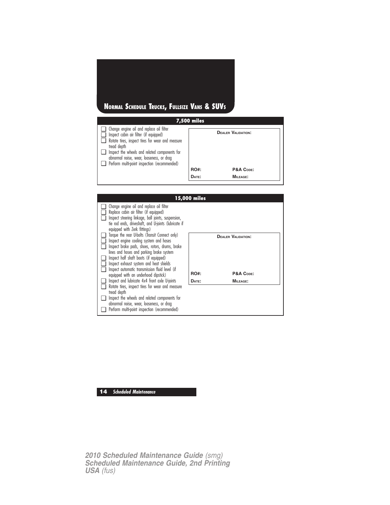# **NORMAL SCHEDULE TRUCKS, FULLSIZE VANS & SUVS**

|                                                                                                                                                                                                                                                                                                           | <b>7,500 miles</b> |                                        |  |
|-----------------------------------------------------------------------------------------------------------------------------------------------------------------------------------------------------------------------------------------------------------------------------------------------------------|--------------------|----------------------------------------|--|
| $\Box$ Change engine oil and replace oil filter<br>Inspect cabin air filter (if equipped)<br>Rotate tires, inspect tires for wear and measure<br>tread depth<br>Inspect the wheels and related components for<br>abnormal noise, wear, looseness, or drag<br>Perform multi-point inspection (recommended) | <b>RO#:</b>        | <b>DEALER VALIDATION:</b><br>P&A CODE: |  |
|                                                                                                                                                                                                                                                                                                           |                    |                                        |  |
|                                                                                                                                                                                                                                                                                                           | DATE:              | MILEAGE:                               |  |
|                                                                                                                                                                                                                                                                                                           |                    |                                        |  |



## **14 Scheduled Maintenance**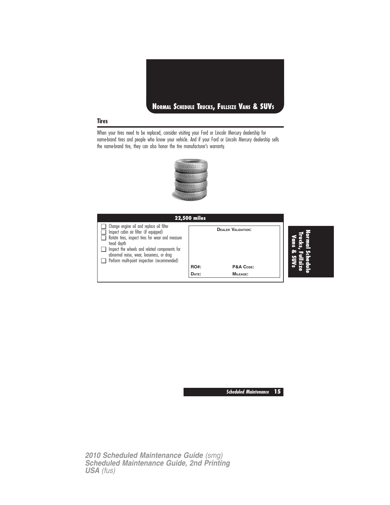

## **Tires**

When your tires need to be replaced, consider visiting your Ford or Lincoln Mercury dealership for name-brand tires and people who know your vehicle. And if your Ford or Lincoln Mercury dealership sells the name-brand tire, they can also honor the tire manufacturer's warranty.



|                                                                                                                                                                                                                                                                                                    | <b>22,500 miles</b> |                           |   |
|----------------------------------------------------------------------------------------------------------------------------------------------------------------------------------------------------------------------------------------------------------------------------------------------------|---------------------|---------------------------|---|
| Change engine oil and replace oil filter<br>Inspect cabin air filter (if equipped)<br>Rotate tires, inspect tires for wear and measure<br>tread depth<br>Inspect the wheels and related components for<br>abnormal noise, wear, looseness, or drag<br>Perform multi-point inspection (recommended) |                     | <b>DEALER VALIDATION:</b> | œ |
|                                                                                                                                                                                                                                                                                                    | <b>RO#:</b>         | P&A CODE:                 |   |
|                                                                                                                                                                                                                                                                                                    | DATE:               | <b>MILEAGE:</b>           |   |
|                                                                                                                                                                                                                                                                                                    |                     |                           |   |

**Scheduled Maintenance 15**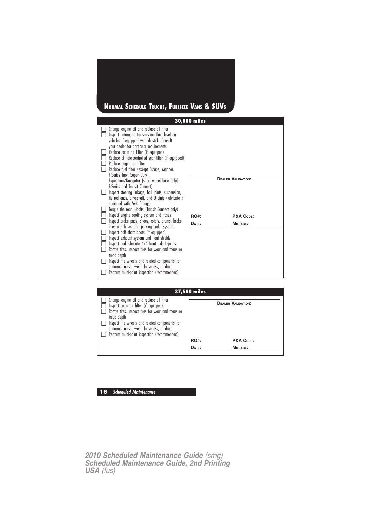# **NORMAL SCHEDULE TRUCKS, FULLSIZE VANS & SUVS**

|                                 |                                                                                                                                                                                                                                                                                                                                                    | 30,000 miles |                           |
|---------------------------------|----------------------------------------------------------------------------------------------------------------------------------------------------------------------------------------------------------------------------------------------------------------------------------------------------------------------------------------------------|--------------|---------------------------|
|                                 | Change engine oil and replace oil filter<br>Inspect automatic transmission fluid level on<br>vehicles if equipped with dipstick. Consult                                                                                                                                                                                                           |              |                           |
| $\blacksquare$                  | your dealer for particular requirements.<br>Replace cabin air filter (if equipped)<br>Replace climate-controlled seat filter (if equipped)<br>Replace engine air filter<br>Replace fuel filter (except Escape, Mariner,<br>F-Series [non Super Duty],                                                                                              |              |                           |
|                                 | Expedition/Navigator [short wheel base only],<br>E-Series and Transit Connect)<br>Inspect steering linkage, ball joints, suspension,<br>tie rod ends, driveshaft, and U-joints (lubricate if<br>equipped with Zerk fittings)<br>Torque the rear U-bolts (Transit Connect only)                                                                     |              | <b>DEALER VALIDATION:</b> |
|                                 | Inspect engine cooling system and hoses                                                                                                                                                                                                                                                                                                            | <b>RO#:</b>  | P&A CODE:                 |
| $\Box$                          | Inspect brake pads, shoes, rotors, drums, brake<br>lines and hoses and parking brake system.                                                                                                                                                                                                                                                       | DATE:        | <b>MILEAGE:</b>           |
| ப<br>ப<br>. .<br>$\blacksquare$ | Inspect half shaft boots (if equipped)<br>Inspect exhaust system and heat shields<br>Inspect and lubricate 4x4 front axle U-joints<br>Rotate tires, inspect tires for wear and measure<br>tread depth<br>Inspect the wheels and related components for<br>abnormal noise, wear, looseness, or drag<br>Perform multi-point inspection (recommended) |              |                           |

|                                                                                                                                                                                                                                                                                                    | 37,500 miles |                           |  |
|----------------------------------------------------------------------------------------------------------------------------------------------------------------------------------------------------------------------------------------------------------------------------------------------------|--------------|---------------------------|--|
| Change engine oil and replace oil filter<br>Inspect cabin air filter (if equipped)<br>Rotate tires, inspect tires for wear and measure<br>tread depth<br>Inspect the wheels and related components for<br>abnormal noise, wear, looseness, or drag<br>Perform multi-point inspection (recommended) |              | <b>DEALER VALIDATION:</b> |  |
|                                                                                                                                                                                                                                                                                                    | <b>RO#:</b>  | P&A CODE:                 |  |
|                                                                                                                                                                                                                                                                                                    | DATE:        | MILEAGE:                  |  |

## **16 Scheduled Maintenance**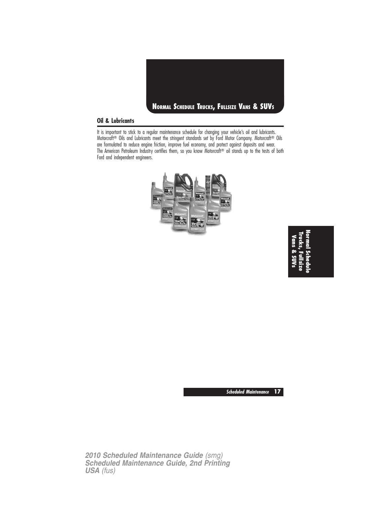

## **Oil & Lubricants**

It is important to stick to a regular maintenance schedule for changing your vehicle's oil and lubricants. Motorcraft<sup>®</sup> Oils and Lubricants meet the stringent standards set by Ford Motor Company. Motorcraft<sup>®</sup> Oils are formulated to reduce engine friction, improve fuel economy, and protect against deposits and wear. The American Petroleum Industry certifies them, so you know Motorcraft® oil stands up to the tests of both Ford and independent engineers.



**NormalSchedule Trucks,Fullsize Vans&SUVs**

**Scheduled Maintenance 17**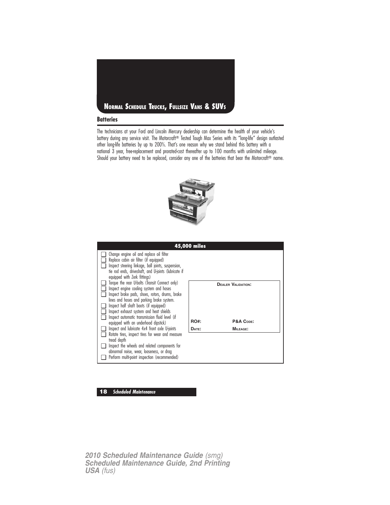

## **Batteries**

The technicians at your Ford and Lincoln Mercury dealership can determine the health of your vehicle's battery during any service visit. The Motorcraft® Tested Tough Max Series with its "long-life" design outlasted other long-life batteries by up to 200%. That's one reason why we stand behind this battery with a national 3 year, free-replacement and prorated-cost thereafter up to 100 months with unlimited mileage. Should your battery need to be replaced, consider any one of the batteries that bear the Motorcraft® name.



|                                                                                                                                                                                                                                                                                                                                  | 45,000 miles |                           |
|----------------------------------------------------------------------------------------------------------------------------------------------------------------------------------------------------------------------------------------------------------------------------------------------------------------------------------|--------------|---------------------------|
| Change engine oil and replace oil filter<br>Replace cabin air filter (if equipped)<br>Inspect steering linkage, ball joints, suspension,<br>tie rod ends, driveshaft, and U-joints (lubricate if<br>equipped with Zerk fittings)                                                                                                 |              |                           |
| Torque the rear U-bolts (Transit Connect only)<br>Inspect engine cooling system and hoses<br>Inspect brake pads, shoes, rotors, drums, brake<br>lines and hoses and parking brake system.<br>Inspect half shaft boots (if equipped)<br>Inspect exhaust system and heat shields<br>Inspect automatic transmission fluid level (if |              | <b>DEALER VALIDATION:</b> |
| equipped with an underhood dipstick)                                                                                                                                                                                                                                                                                             | <b>RO#:</b>  | P&A CODE:                 |
| Inspect and lubricate 4x4 front axle U-joints                                                                                                                                                                                                                                                                                    | DATE:        | MILEAGE:                  |
| Rotate tires, inspect tires for wear and measure<br>tread depth                                                                                                                                                                                                                                                                  |              |                           |
| Inspect the wheels and related components for<br>abnormal noise, wear, looseness, or drag                                                                                                                                                                                                                                        |              |                           |
| Perform multi-point inspection (recommended)                                                                                                                                                                                                                                                                                     |              |                           |

## **18 Scheduled Maintenance**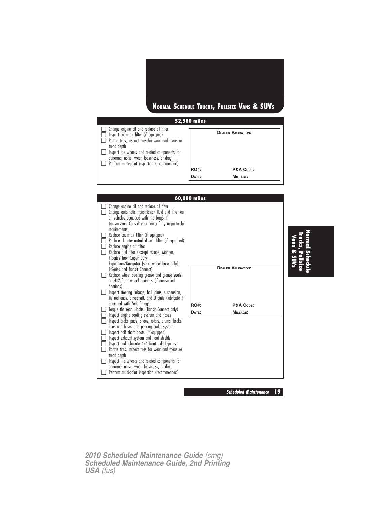# **NORMAL SCHEDULE TRUCKS, FULLSIZE VANS & SUVS**

|                                                                                                                                                                                                                                                                                                                  | 52,500 miles         |                                                    |
|------------------------------------------------------------------------------------------------------------------------------------------------------------------------------------------------------------------------------------------------------------------------------------------------------------------|----------------------|----------------------------------------------------|
| $\Box$ Change engine oil and replace oil filter<br>Inspect cabin air filter (if equipped)<br>Rotate tires, inspect tires for wear and measure<br>tread depth<br>$\Box$ Inspect the wheels and related components for<br>abnormal noise, wear, looseness, or drag<br>Perform multi-point inspection (recommended) | <b>RO#:</b><br>DATE: | <b>DEALER VALIDATION:</b><br>P&A CODE:<br>MILEAGE: |



**NormalSchedule Trucks,Fullsize Vans & SUVs**

*2010 Scheduled Maintenance Guide (smg) Scheduled Maintenance Guide, 2nd Printing USA (fus)*

**Scheduled Maintenance 19**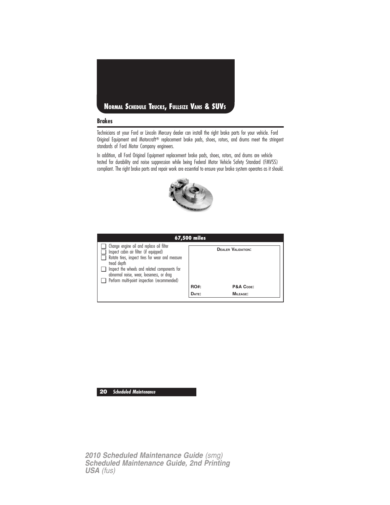

## **Brakes**

Technicians at your Ford or Lincoln Mercury dealer can install the right brake parts for your vehicle. Ford Original Equipment and Motorcraft® replacement brake pads, shoes, rotors, and drums meet the stringent standards of Ford Motor Company engineers.

In addition, all Ford Original Equipment replacement brake pads, shoes, rotors, and drums are vehicle tested for durability and noise suppression while being Federal Motor Vehicle Safety Standard (FMVSS) compliant. The right brake parts and repair work are essential to ensure your brake system operates as it should.



|                                                                                                                                                       | 67,500 miles |                           |
|-------------------------------------------------------------------------------------------------------------------------------------------------------|--------------|---------------------------|
| Change engine oil and replace oil filter<br>Inspect cabin air filter (if equipped)<br>Rotate tires, inspect tires for wear and measure<br>tread depth |              | <b>DEALER VALIDATION:</b> |
| Inspect the wheels and related components for<br>abnormal noise, wear, looseness, or drag                                                             |              |                           |
| Perform multi-point inspection (recommended)                                                                                                          | <b>RO#:</b>  | P&A CODE:                 |
|                                                                                                                                                       | DATE:        | MILEAGE:                  |

## **20 Scheduled Maintenance**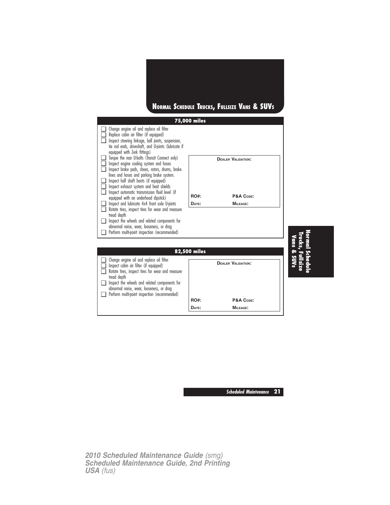# **NORMAL SCHEDULE TRUCKS, FULLSIZE VANS & SUVS**

|               |                                                                                                                                                                                                                                                                                                    | 75,000 miles |                           |             |
|---------------|----------------------------------------------------------------------------------------------------------------------------------------------------------------------------------------------------------------------------------------------------------------------------------------------------|--------------|---------------------------|-------------|
|               | Change engine oil and replace oil filter<br>Replace cabin air filter (if equipped)<br>Inspect steering linkage, ball joints, suspension,<br>tie rod ends, driveshaft, and U-joints (lubricate if<br>equipped with Zerk fittings)                                                                   |              |                           |             |
| n.<br>n.<br>□ | Torque the rear U-bolts (Transit Connect only)<br>Inspect engine cooling system and hoses<br>Inspect brake pads, shoes, rotors, drums, brake<br>lines and hoses and parking brake system.<br>Inspect half shaft boots (if equipped)<br>Inspect exhaust system and heat shields                     |              | <b>DEALER VALIDATION:</b> |             |
| □             | Inspect automatic transmission fluid level (if                                                                                                                                                                                                                                                     | <b>RO#:</b>  | P&A CODE:                 |             |
| n             | equipped with an underhood dipstick)<br>Inspect and lubricate 4x4 front axle U-joints                                                                                                                                                                                                              | DATE:        | <b>MILEAGE:</b>           |             |
| $\mathbf{L}$  | Rotate tires, inspect tires for wear and measure<br>tread depth                                                                                                                                                                                                                                    |              |                           |             |
|               | Inspect the wheels and related components for                                                                                                                                                                                                                                                      |              |                           |             |
|               | abnormal noise, wear, looseness, or drag<br>Perform multi-point inspection (recommended)                                                                                                                                                                                                           |              |                           |             |
|               |                                                                                                                                                                                                                                                                                                    |              |                           |             |
|               |                                                                                                                                                                                                                                                                                                    | 82,500 miles |                           |             |
| ∣ 1           | Change engine oil and replace oil filter<br>Inspect cabin air filter (if equipped)<br>Rotate tires, inspect tires for wear and measure<br>tread depth<br>Inspect the wheels and related components for<br>abnormal noise, wear, looseness, or drag<br>Perform multi-point inspection (recommended) |              | <b>DEALER VALIDATION:</b> | Vans & SUVs |
|               |                                                                                                                                                                                                                                                                                                    | <b>RO#:</b>  | P&A CODE:                 |             |
|               |                                                                                                                                                                                                                                                                                                    | DATE:        | <b>MILEAGE:</b>           |             |

**Normal Schedule Trucks,Fullsize**

**Scheduled Maintenance 21**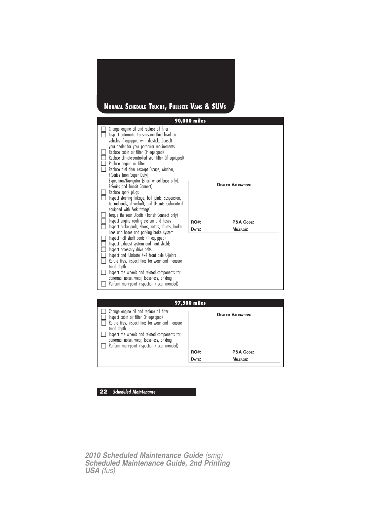# **NORMAL SCHEDULE TRUCKS, FULLSIZE VANS & SUVS**

| 97,500 miles                                                                                                                                                 |             |                           |  |  |
|--------------------------------------------------------------------------------------------------------------------------------------------------------------|-------------|---------------------------|--|--|
| $\Box$ Change engine oil and replace oil filter<br>Inspect cabin air filter (if equipped)<br>Rotate tires, inspect tires for wear and measure<br>tread depth |             | <b>DEALER VALIDATION:</b> |  |  |
| Inspect the wheels and related components for<br>abnormal noise, wear, looseness, or drag                                                                    |             |                           |  |  |
| Perform multi-point inspection (recommended)                                                                                                                 |             |                           |  |  |
|                                                                                                                                                              | <b>RO#:</b> | P&A CODE:                 |  |  |
|                                                                                                                                                              | DATE:       | MILEAGE:                  |  |  |
|                                                                                                                                                              |             |                           |  |  |

**22 Scheduled Maintenance**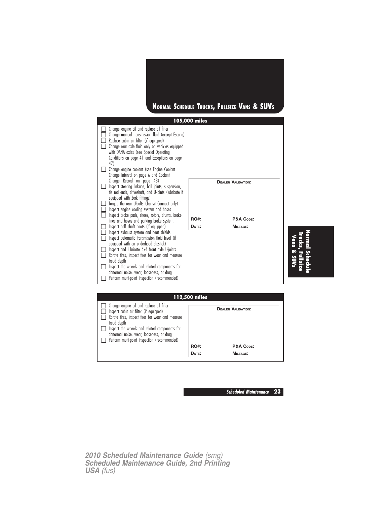



**NormalSchedule Fullsize**

| 112,500 miles                                                                                                                                                                                                                                                                                      |             |                           |  |  |
|----------------------------------------------------------------------------------------------------------------------------------------------------------------------------------------------------------------------------------------------------------------------------------------------------|-------------|---------------------------|--|--|
| Change engine oil and replace oil filter<br>Inspect cabin air filter (if equipped)<br>Rotate tires, inspect tires for wear and measure<br>tread depth<br>Inspect the wheels and related components for<br>abnormal noise, wear, looseness, or drag<br>Perform multi-point inspection (recommended) |             | <b>DEALER VALIDATION:</b> |  |  |
|                                                                                                                                                                                                                                                                                                    | <b>RO#:</b> | P&A CODE:                 |  |  |
|                                                                                                                                                                                                                                                                                                    | DATE:       | MILEAGE:                  |  |  |

**Scheduled Maintenance 23**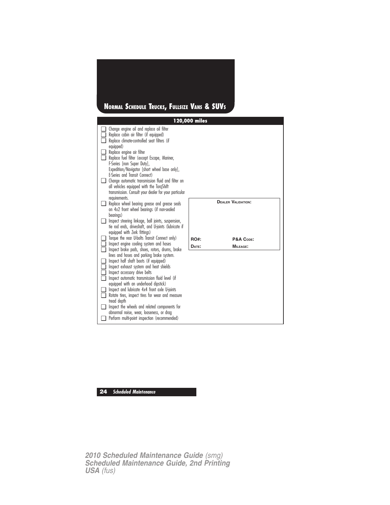# **NORMAL SCHEDULE TRUCKS, FULLSIZE VANS & SUVS**

|     |                                                                                                                                                                                                          | 120,000 miles |                           |
|-----|----------------------------------------------------------------------------------------------------------------------------------------------------------------------------------------------------------|---------------|---------------------------|
|     | Change engine oil and replace oil filter<br>Replace cabin air filter (if equipped)<br>Replace climate-controlled seat filters (if<br>equipped)                                                           |               |                           |
|     | Replace engine air filter<br>Replace fuel filter (except Escape, Mariner,<br>F-Series [non Super Duty],<br>Expedition/Navigator [short wheel base only],                                                 |               |                           |
|     | E-Series and Transit Connect)<br>Change automatic transmission fluid and filter on<br>all vehicles equipped with the TorgShift<br>transmission. Consult your dealer for your particular<br>requirements. |               |                           |
|     | Replace wheel bearing grease and grease seals<br>on 4x2 front wheel bearings (if non-sealed<br>bearings)                                                                                                 |               | <b>DEALER VALIDATION:</b> |
|     | Inspect steering linkage, ball joints, suspension,<br>tie rod ends, driveshaft, and U-joints (lubricate if<br>equipped with Zerk fittings)                                                               |               |                           |
|     | Torque the rear U-bolts Transit Connect only)                                                                                                                                                            | <b>RO#:</b>   | P&A CODE:                 |
|     | Inspect engine cooling system and hoses<br>Inspect brake pads, shoes, rotors, drums, brake                                                                                                               | DATE:         | <b>MILEAGE:</b>           |
|     | lines and hoses and parking brake system.                                                                                                                                                                |               |                           |
|     | Inspect half shaft boots (if equipped)                                                                                                                                                                   |               |                           |
|     | Inspect exhaust system and heat shields<br>Inspect accessory drive belts                                                                                                                                 |               |                           |
| l I | Inspect automatic transmission fluid level (if                                                                                                                                                           |               |                           |
|     | equipped with an underhood dipstick)<br>Inspect and lubricate 4x4 front axle U-joints                                                                                                                    |               |                           |
| □   | Rotate tires, inspect tires for wear and measure                                                                                                                                                         |               |                           |
|     | tread depth                                                                                                                                                                                              |               |                           |
|     | Inspect the wheels and related components for<br>abnormal noise, wear, looseness, or drag                                                                                                                |               |                           |
|     | Perform multi-point inspection (recommended)                                                                                                                                                             |               |                           |

## **24 Scheduled Maintenance**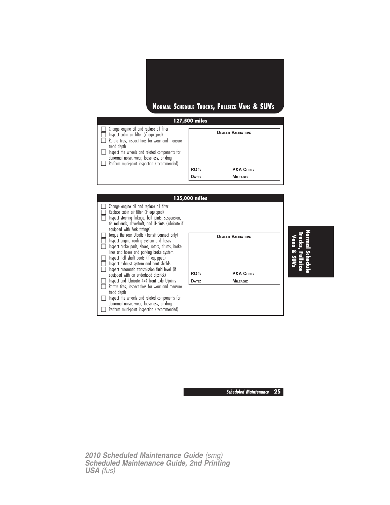

**RO#: P&A CODE: DATE: MILEAGE: 135,000 miles** ❑ Change engine oil and replace oil filter ❑ Replace cabin air filter (if equipped) ❑ Inspect steering linkage, ball joints, suspension, tie rod ends, driveshaft, and U-joints (lubricate if equipped with Zerk fittings) ❑ Torque the rear U-bolts (Transit Connect only) □ Inspect engine cooling system and hoses □ Inspect brake pads, shoes, rotors, drums, brake **DEALER VALIDATION:**



❑ Perform multi-point inspection (recommended)

❑ Perform multi-point inspection (recommended)

**NormalSchedule Trucks,Fullsize Vans & SUVs**

**Scheduled Maintenance 25**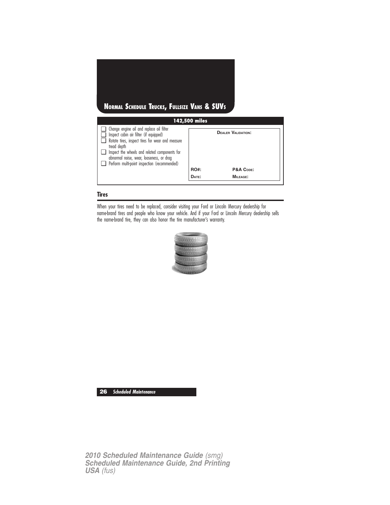# **142,500 miles NORMAL SCHEDULE TRUCKS, FULLSIZE VANS & SUVS**

| $\Box$ Change engine oil and replace oil filter<br>Inspect cabin air filter (if equipped)<br>Rotate tires, inspect tires for wear and measure<br>tread depth |             | <b>DEALER VALIDATION:</b> |
|--------------------------------------------------------------------------------------------------------------------------------------------------------------|-------------|---------------------------|
| Inspect the wheels and related components for                                                                                                                |             |                           |
| abnormal noise, wear, looseness, or drag                                                                                                                     |             |                           |
| Perform multi-point inspection (recommended)                                                                                                                 |             |                           |
|                                                                                                                                                              | <b>RO#:</b> | P&A CODE:                 |
|                                                                                                                                                              | DATE:       | MILEAGE:                  |

## **Tires**

When your tires need to be replaced, consider visiting your Ford or Lincoln Mercury dealership for name-brand tires and people who know your vehicle. And if your Ford or Lincoln Mercury dealership sells the name-brand tire, they can also honor the tire manufacturer's warranty.



**26 Scheduled Maintenance**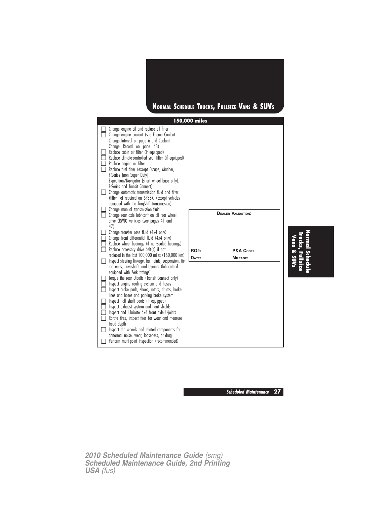

**Scheduled Maintenance 27**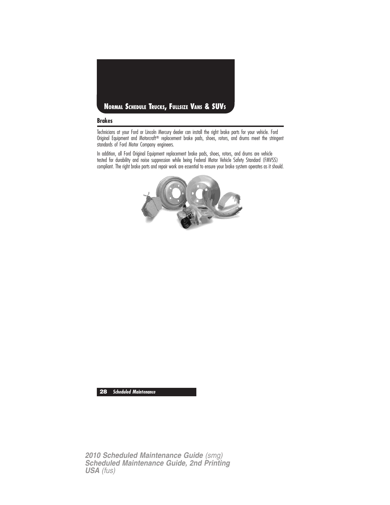

## **Brakes**

Technicians at your Ford or Lincoln Mercury dealer can install the right brake parts for your vehicle. Ford Original Equipment and Motorcraft® replacement brake pads, shoes, rotors, and drums meet the stringent standards of Ford Motor Company engineers.

In addition, all Ford Original Equipment replacement brake pads, shoes, rotors, and drums are vehicle tested for durability and noise suppression while being Federal Motor Vehicle Safety Standard (FMVSS) compliant. The right brake parts and repair work are essential to ensure your brake system operates as it should.



**28 Scheduled Maintenance**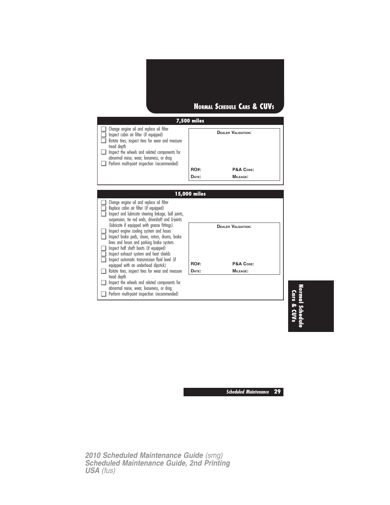

**Normal Schedule Cars & CUVs**

**Scheduled Maintenance 29**

*2010 Scheduled Maintenance Guide (smg) Scheduled Maintenance Guide, 2nd Printing USA (fus)*

❑ Perform multi-point inspection (recommended)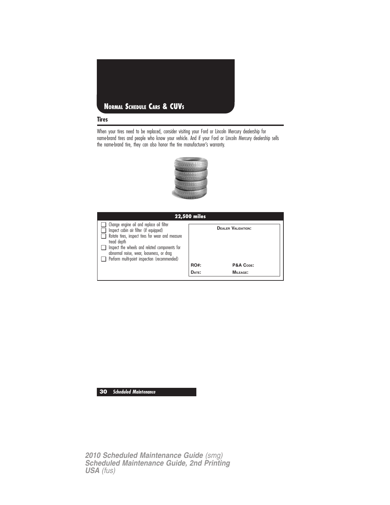

When your tires need to be replaced, consider visiting your Ford or Lincoln Mercury dealership for name-brand tires and people who know your vehicle. And if your Ford or Lincoln Mercury dealership sells the name-brand tire, they can also honor the tire manufacturer's warranty.



| <b>22,500 miles</b>                                                                                                                                   |             |                           |  |  |
|-------------------------------------------------------------------------------------------------------------------------------------------------------|-------------|---------------------------|--|--|
| Change engine oil and replace oil filter<br>Inspect cabin air filter (if equipped)<br>Rotate tires, inspect tires for wear and measure<br>tread depth |             | <b>DEALER VALIDATION:</b> |  |  |
| Inspect the wheels and related components for<br>abnormal noise, wear, looseness, or drag<br>Perform multi-point inspection (recommended)             |             |                           |  |  |
|                                                                                                                                                       | <b>RO#:</b> | P&A CODE:                 |  |  |
|                                                                                                                                                       | DATE:       | MILEAGE:                  |  |  |

**30 Scheduled Maintenance**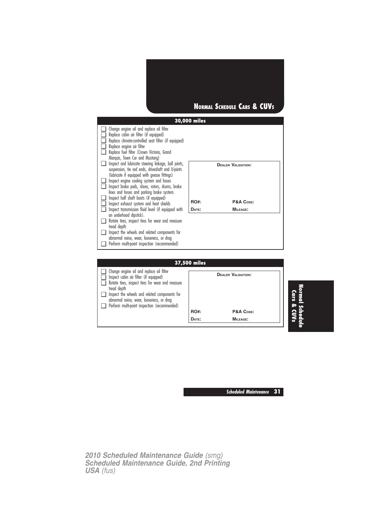



| 37,500 miles                                                                                                                                          |             |                           |  |  |
|-------------------------------------------------------------------------------------------------------------------------------------------------------|-------------|---------------------------|--|--|
| Change engine oil and replace oil filter<br>Inspect cabin air filter (if equipped)<br>Rotate tires, inspect tires for wear and measure<br>tread depth |             | <b>DEALER VALIDATION:</b> |  |  |
| Inspect the wheels and related components for<br>abnormal noise, wear, looseness, or drag                                                             |             |                           |  |  |
| Perform multi-point inspection (recommended)                                                                                                          | <b>RO#:</b> | P&A CODE:                 |  |  |
|                                                                                                                                                       | DATE:       | MILEAGE:                  |  |  |

**Scheduled Maintenance 31**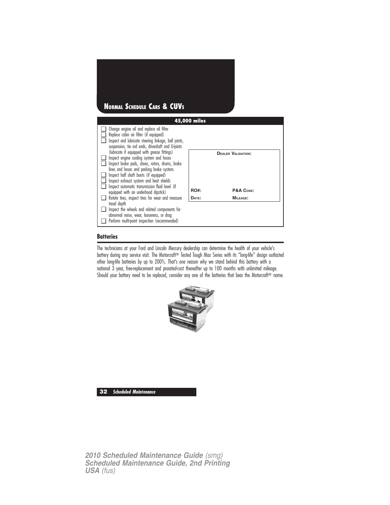

## **Batteries**

The technicians at your Ford and Lincoln Mercury dealership can determine the health of your vehicle's battery during any service visit. The Motorcraft® Tested Tough Max Series with its "long-life" design outlasted other long-life batteries by up to 200%. That's one reason why we stand behind this battery with a national 3 year, free-replacement and prorated-cost thereafter up to 100 months with unlimited mileage. Should your battery need to be replaced, consider any one of the batteries that bear the Motorcraft® name.



**32 Scheduled Maintenance**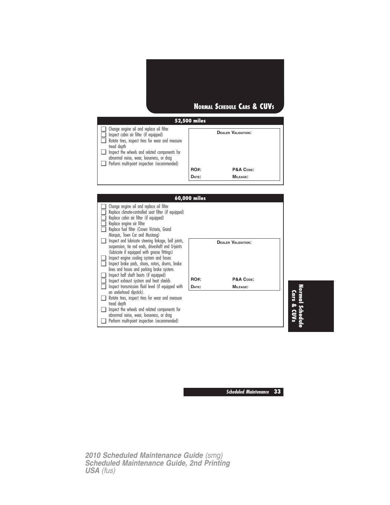# **52,500 miles NORMAL SCHEDULE CARS & CUVS**

| Change engine oil and replace oil filter<br>Inspect cabin air filter (if equipped)<br>Rotate tires, inspect tires for wear and measure<br>tread depth<br>Inspect the wheels and related components for<br>abnormal noise, wear, looseness, or drag |             | <b>DEALER VALIDATION:</b> |
|----------------------------------------------------------------------------------------------------------------------------------------------------------------------------------------------------------------------------------------------------|-------------|---------------------------|
| Perform multi-point inspection (recommended)                                                                                                                                                                                                       |             |                           |
|                                                                                                                                                                                                                                                    | <b>RO#:</b> | P&A CODE:                 |
|                                                                                                                                                                                                                                                    | DATE:       | <b>MILEAGE:</b>           |

| 60,000 miles                                                                |             |                           |  |  |
|-----------------------------------------------------------------------------|-------------|---------------------------|--|--|
| Change engine oil and replace oil filter                                    |             |                           |  |  |
| Replace climate-controlled seat filter (if equipped)                        |             |                           |  |  |
| Replace cabin air filter (if equipped)                                      |             |                           |  |  |
| Replace engine air filter<br>Replace fuel filter (Crown Victoria, Grand     |             |                           |  |  |
| Marquis, Town Car and Mustang)                                              |             |                           |  |  |
| Inspect and lubricate steering linkage, ball joints,                        |             | <b>DEALER VALIDATION:</b> |  |  |
| suspension, tie rod ends, driveshaft and U-joints                           |             |                           |  |  |
| (lubricate if equipped with grease fittings)                                |             |                           |  |  |
| Inspect engine cooling system and hoses                                     |             |                           |  |  |
| Inspect brake pads, shoes, rotors, drums, brake                             |             |                           |  |  |
| lines and hoses and parking brake system.                                   |             |                           |  |  |
| Inspect half shaft boots (if equipped)                                      | <b>RO#:</b> | P&A CODE:                 |  |  |
| Inspect exhaust system and heat shields                                     |             |                           |  |  |
| Inspect transmission fluid level (if equipped with                          | DATE:       | MILEAGE:                  |  |  |
| an underhood dipstick).<br>Rotate tires, inspect tires for wear and measure |             |                           |  |  |
| tread depth                                                                 |             |                           |  |  |
| Inspect the wheels and related components for                               |             |                           |  |  |
| abnormal noise, wear, looseness, or drag                                    |             |                           |  |  |
| Perform multi-point inspection (recommended)                                |             |                           |  |  |

**Normal Schedule Cars & CUVs**

**Scheduled Maintenance 33**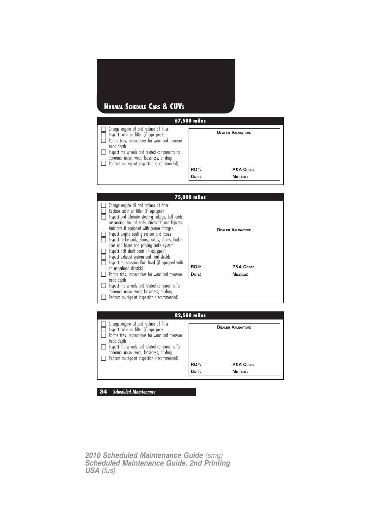## **NORMAL SCHEDULE CARS & CUVS**





abnormal noise, wear, looseness, or drag ❑ Perform multi-point inspection (recommended) **RO#: P&A CODE: DATE: MILEAGE:**

**34 Scheduled Maintenance**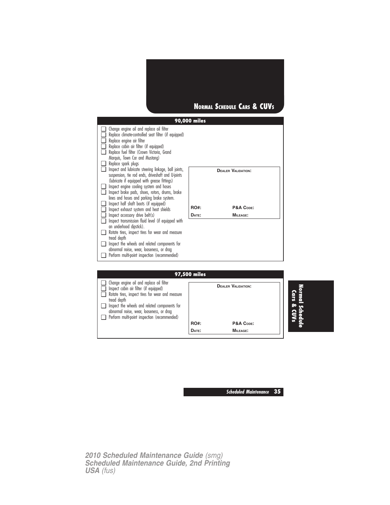

| ❏<br>❏<br>$\Box$<br>ō<br>$\Box$<br>❏ | Change engine oil and replace oil filter<br>Replace climate-controlled seat filter (if equipped)<br>Replace engine air filter<br>Replace cabin air filter (if equipped)<br>Replace fuel filter (Crown Victoria, Grand<br>Marquis, Town Car and Mustang)<br>Replace spark plugs                                                                 |              |                           |  |
|--------------------------------------|------------------------------------------------------------------------------------------------------------------------------------------------------------------------------------------------------------------------------------------------------------------------------------------------------------------------------------------------|--------------|---------------------------|--|
| $\Box$<br>⊔<br>❏<br>❏                | Inspect and lubricate steering linkage, ball joints,<br>suspension, tie rod ends, driveshaft and U-joints<br>(lubricate if equipped with grease fittings)<br>Inspect engine cooling system and hoses<br>Inspect brake pads, shoes, rotors, drums, brake<br>lines and hoses and parking brake system.<br>Inspect half shaft boots (if equipped) |              | <b>DEALER VALIDATION:</b> |  |
| $\Box$                               | Inspect exhaust system and heat shields                                                                                                                                                                                                                                                                                                        | <b>RO#:</b>  | P&A CODE:                 |  |
| Q.                                   | Inspect accessory drive belt(s)                                                                                                                                                                                                                                                                                                                | DATE:        | <b>MILEAGE:</b>           |  |
| ❏                                    | Inspect transmission fluid level (if equipped with<br>an underhood dipstick).                                                                                                                                                                                                                                                                  |              |                           |  |
| ❏                                    | Rotate tires, inspect tires for wear and measure                                                                                                                                                                                                                                                                                               |              |                           |  |
|                                      | tread depth                                                                                                                                                                                                                                                                                                                                    |              |                           |  |
| ❏                                    | Inspect the wheels and related components for                                                                                                                                                                                                                                                                                                  |              |                           |  |
|                                      | abnormal noise, wear, looseness, or drag                                                                                                                                                                                                                                                                                                       |              |                           |  |
| ப                                    | Perform multi-point inspection (recommended)                                                                                                                                                                                                                                                                                                   |              |                           |  |
|                                      |                                                                                                                                                                                                                                                                                                                                                |              |                           |  |
|                                      |                                                                                                                                                                                                                                                                                                                                                |              |                           |  |
|                                      |                                                                                                                                                                                                                                                                                                                                                | 97,500 miles |                           |  |

| Change engine oil and replace oil filter<br>n.<br>Inspect cabin air filter (if equipped)<br>Rotate tires, inspect tires for wear and measure<br>tread depth<br>Inspect the wheels and related components for<br>n |             | <b>DEALER VALIDATION:</b> |  |
|-------------------------------------------------------------------------------------------------------------------------------------------------------------------------------------------------------------------|-------------|---------------------------|--|
| abnormal noise, wear, looseness, or drag<br>Perform multi-point inspection (recommended)<br>n.                                                                                                                    |             |                           |  |
|                                                                                                                                                                                                                   | <b>RO#:</b> | P&A CODE:                 |  |
|                                                                                                                                                                                                                   | DATE:       | <b>MILEAGE:</b>           |  |

**Normal Schedule Cars & CUVs**

**Scheduled Maintenance 35**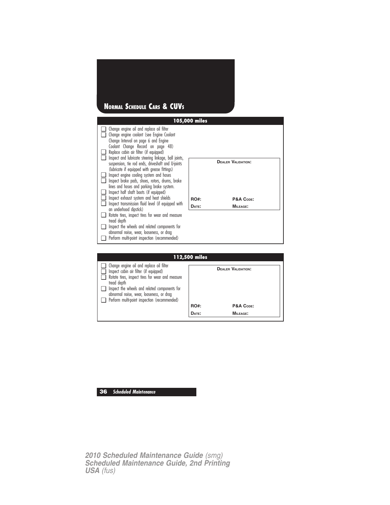# **NORMAL SCHEDULE CARS & CUVS**

|                                                                                                                                                                                          | 105,000 miles |                           |
|------------------------------------------------------------------------------------------------------------------------------------------------------------------------------------------|---------------|---------------------------|
| Change engine oil and replace oil filter<br>Change engine coolant (see Engine Coolant<br>Change Interval on page 6 and Engine                                                            |               |                           |
| Coolant Change Record on page 48)<br>Replace cabin air filter (if equipped)<br>Inspect and lubricate steering linkage, ball joints,<br>suspension, tie rod ends, driveshaft and U-joints |               | <b>DEALER VALIDATION:</b> |
| (lubricate if equipped with grease fittings)<br>Inspect engine cooling system and hoses<br>Inspect brake pads, shoes, rotors, drums, brake<br>lines and hoses and parking brake system.  |               |                           |
| Inspect half shaft boots (if equipped)<br>Inspect exhaust system and heat shields<br>Inspect transmission fluid level (if equipped with                                                  | RO#:          | P&A CODE:<br>MILEAGE:     |
| an underhood dipstick)<br>Rotate tires, inspect tires for wear and measure<br>tread depth                                                                                                | DATE:         |                           |
| Inspect the wheels and related components for<br>abnormal noise, wear, looseness, or drag                                                                                                |               |                           |
| Perform multi-point inspection (recommended)                                                                                                                                             |               |                           |
|                                                                                                                                                                                          | 112,500 miles |                           |

| 112,500 miles |                                                                                                                                                       |             |                           |  |
|---------------|-------------------------------------------------------------------------------------------------------------------------------------------------------|-------------|---------------------------|--|
|               | Change engine oil and replace oil filter<br>Inspect cabin air filter (if equipped)<br>Rotate tires, inspect tires for wear and measure<br>tread depth |             | <b>DEALER VALIDATION:</b> |  |
|               | Inspect the wheels and related components for<br>abnormal noise, wear, looseness, or drag                                                             |             |                           |  |
|               | Perform multi-point inspection (recommended)                                                                                                          |             |                           |  |
|               |                                                                                                                                                       | <b>RO#:</b> | P&A CODE:                 |  |
|               |                                                                                                                                                       | DATE:       | MILEAGE:                  |  |
|               |                                                                                                                                                       |             |                           |  |

## **36 Scheduled Maintenance**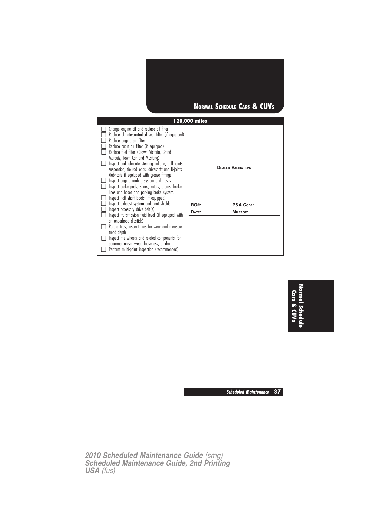

| ⊔<br>⊔<br>⊔<br>Q.<br>$\Box$ | Change engine oil and replace oil filter<br>Replace climate-controlled seat filter (if equipped)<br>Replace engine air filter<br>Replace cabin air filter (if equipped)<br>Replace fuel filter (Crown Victoria, Grand |             |                           |
|-----------------------------|-----------------------------------------------------------------------------------------------------------------------------------------------------------------------------------------------------------------------|-------------|---------------------------|
|                             | Marquis, Town Car and Mustang)                                                                                                                                                                                        |             |                           |
| Q.                          | Inspect and lubricate steering linkage, ball joints,<br>suspension, tie rod ends, driveshaft and U-joints<br>(lubricate if equipped with grease fittings)                                                             |             | <b>DEALER VALIDATION:</b> |
| ⊔                           | Inspect engine cooling system and hoses                                                                                                                                                                               |             |                           |
| □.                          | Inspect brake pads, shoes, rotors, drums, brake                                                                                                                                                                       |             |                           |
|                             | lines and hoses and parking brake system.                                                                                                                                                                             |             |                           |
| ❏                           | Inspect half shaft boots (if equipped)                                                                                                                                                                                |             |                           |
| ❏                           | Inspect exhaust system and heat shields                                                                                                                                                                               | <b>RO#:</b> | P&A CODE:                 |
|                             | $\Box$ Inspect accessory drive belt(s)                                                                                                                                                                                | DATE:       | <b>MILEAGE:</b>           |
| □.                          | Inspect transmission fluid level (if equipped with<br>an underhood dipstick).                                                                                                                                         |             |                           |
|                             | $\Box$ Rotate tires, inspect tires for wear and measure                                                                                                                                                               |             |                           |
|                             | tread depth                                                                                                                                                                                                           |             |                           |
| o.                          | Inspect the wheels and related components for                                                                                                                                                                         |             |                           |
|                             | abnormal noise, wear, looseness, or drag                                                                                                                                                                              |             |                           |
|                             | $\Box$ Perform multi-point inspection (recommended)                                                                                                                                                                   |             |                           |

**Normal Schedule Cars & CUVs**

**Scheduled Maintenance 37**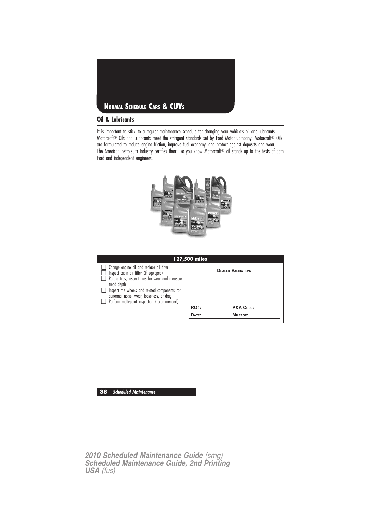

## **Oil & Lubricants**

It is important to stick to a regular maintenance schedule for changing your vehicle's oil and lubricants. Motorcraft<sup>®</sup> Oils and Lubricants meet the stringent standards set by Ford Motor Company. Motorcraft<sup>®</sup> Oils are formulated to reduce engine friction, improve fuel economy, and protect against deposits and wear. The American Petroleum Industry certifies them, so you know Motorcraft<sup>®</sup> oil stands up to the tests of both Ford and independent engineers.



| 127,500 miles                                                                                                                                                                                                                                                                                      |                      |                                                           |  |  |
|----------------------------------------------------------------------------------------------------------------------------------------------------------------------------------------------------------------------------------------------------------------------------------------------------|----------------------|-----------------------------------------------------------|--|--|
| Change engine oil and replace oil filter<br>Inspect cabin air filter (if equipped)<br>Rotate tires, inspect tires for wear and measure<br>tread depth<br>Inspect the wheels and related components for<br>abnormal noise, wear, looseness, or drag<br>Perform multi-point inspection (recommended) | <b>RO#:</b><br>DATE: | <b>DEALER VALIDATION:</b><br>P&A CODE:<br><b>MILEAGE:</b> |  |  |
|                                                                                                                                                                                                                                                                                                    |                      |                                                           |  |  |

## **38 Scheduled Maintenance**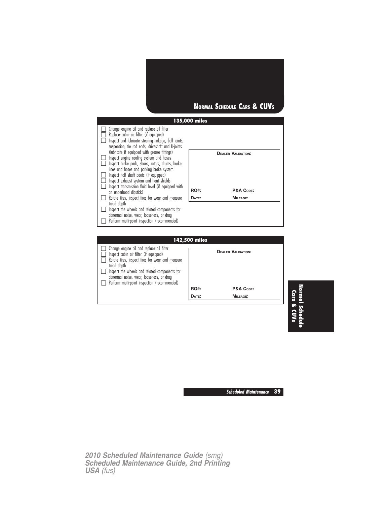



**DATE: MILEAGE:**

**Normal Schedule Cars & CUVs**

**Scheduled Maintenance 39**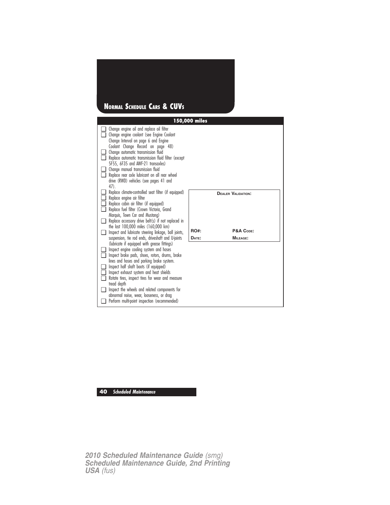# **NORMAL SCHEDULE CARS & CUVS**

|             |                                                                                                                                                                                                                                                                                                                                                                                                                                                                                              | 150,000 miles |                                        |
|-------------|----------------------------------------------------------------------------------------------------------------------------------------------------------------------------------------------------------------------------------------------------------------------------------------------------------------------------------------------------------------------------------------------------------------------------------------------------------------------------------------------|---------------|----------------------------------------|
|             | Change engine oil and replace oil filter<br>Change engine coolant (see Engine Coolant<br>Change Interval on page 6 and Engine<br>Coolant Change Record on page 48)<br>Change automatic transmission fluid<br>Replace automatic transmission fluid filter (except<br>5F55, 6F35 and AWF-21 transaxles)<br>Change manual transmission fluid<br>Replace rear axle lubricant on all rear wheel<br>drive (RWD) vehicles (see pages 41 and<br>47).                                                 |               |                                        |
| □<br>□<br>□ | Replace climate-controlled seat filter (if equipped)<br>Replace engine air filter<br>Replace cabin air filter (if equipped)<br>Replace fuel filter (Crown Victoria, Grand<br>Marquis, Town Car and Mustang)<br>Replace accessory drive belt(s) if not replaced in<br>the last 100,000 miles (160,000 km)<br>Inspect and lubricate steering linkage, ball joints,                                                                                                                             | <b>RO#:</b>   | <b>DEALER VALIDATION:</b><br>P&A CODE: |
|             | suspension, tie rod ends, driveshaft and U-joints                                                                                                                                                                                                                                                                                                                                                                                                                                            | DATE:         | <b>MILEAGE:</b>                        |
| n           | (lubricate if equipped with grease fittings)<br>Inspect engine cooling system and hoses<br>Inspect brake pads, shoes, rotors, drums, brake<br>lines and hoses and parking brake system.<br>Inspect half shaft boots (if equipped)<br>Inspect exhaust system and heat shields<br>Rotate tires, inspect tires for wear and measure<br>tread depth<br>Inspect the wheels and related components for<br>abnormal noise, wear, looseness, or drag<br>Perform multi-point inspection (recommended) |               |                                        |

**40 Scheduled Maintenance**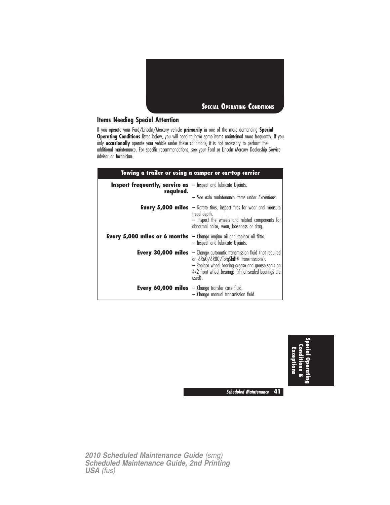

## **Items Needing Special Attention**

If you operate your Ford/Lincoln/Mercury vehicle **primarily** in one of the more demanding **Special Operating Conditions** listed below, you will need to have some items maintained more frequently. If you only **occasionally** operate your vehicle under these conditions, it is not necessary to perform the additional maintenance. For specific recommendations, see your Ford or Lincoln Mercury Dealership Service Advisor or Technician.

| Towing a trailer or using a camper or car-top carrier                                  |                                                                                                                                                                                                                                                                |  |
|----------------------------------------------------------------------------------------|----------------------------------------------------------------------------------------------------------------------------------------------------------------------------------------------------------------------------------------------------------------|--|
| <b>Inspect frequently, service as</b> $-$ Inspect and lubricate U-joints.<br>required. |                                                                                                                                                                                                                                                                |  |
|                                                                                        | - See axle maintenance items under <i>Exceptions</i> .                                                                                                                                                                                                         |  |
|                                                                                        | <b>Every 5,000 miles</b> $-$ Rotate tires, inspect tires for wear and measure<br>tread depth.<br>- Inspect the wheels and related components for<br>abnormal noise, wear, looseness or drag.                                                                   |  |
| <b>Every 5,000 miles or 6 months</b> $-$ Change engine oil and replace oil filter.     | - Inspect and lubricate U-joints.                                                                                                                                                                                                                              |  |
|                                                                                        | <b>Every 30,000 miles</b> $-$ Change automatic transmission fluid (not required<br>on 6R60/6R80/TorqShift <sup>®</sup> transmissions).<br>- Replace wheel bearing grease and grease seals on<br>4x2 front wheel bearings (if non-sealed bearings are<br>used). |  |
| <b>Every 60,000 miles</b> $-$ Change transfer case fluid.                              | - Change manual transmission fluid.                                                                                                                                                                                                                            |  |



**Scheduled Maintenance 41**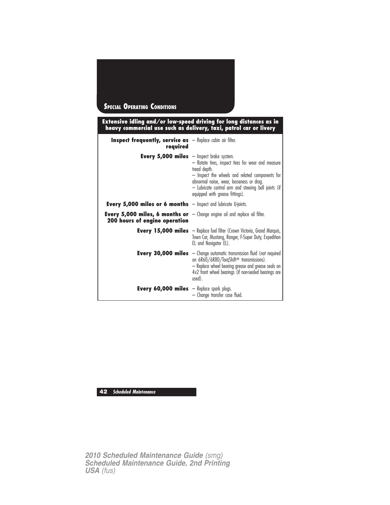| <b>SPECIAL OPERATING CONDITIONS</b>                                    |                                                                                                                                                                                 |
|------------------------------------------------------------------------|---------------------------------------------------------------------------------------------------------------------------------------------------------------------------------|
|                                                                        | Extensive idling and/or low-speed driving for long distances as in<br>heavy commercial use such as delivery, taxi, patrol car or livery                                         |
| Inspect frequently, service as - Replace cabin air filter.<br>required |                                                                                                                                                                                 |
| <b>Every 5,000 miles</b> $-$ lnspect brake system.                     | - Rotate tires, inspect tires for wear and measure<br>tread depth.<br>- Inspect the wheels and related components for<br>المستطر المستحدث والمستحدث والمنافذ والمستحدث المستحدث |

|                                                                                                                             | tread depth.<br>- Inspect the wheels and related components for<br>abnormal noise, wear, looseness or drag.<br>- Lubricate control arm and steering ball joints (if<br>equipped with grease fittings).                                                       |
|-----------------------------------------------------------------------------------------------------------------------------|--------------------------------------------------------------------------------------------------------------------------------------------------------------------------------------------------------------------------------------------------------------|
| <b>Every 5,000 miles or 6 months</b> $-$ Inspect and lubricate U-joints.                                                    |                                                                                                                                                                                                                                                              |
| <b>Every 5,000 miles, 6 months or</b> $-$ Change engine oil and replace oil filter.<br><b>200 hours of engine operation</b> |                                                                                                                                                                                                                                                              |
|                                                                                                                             | <b>Every 15,000 miles</b> $-$ Replace fuel filter (Crown Victoria, Grand Marquis,<br>Town Car, Mustang, Ranger, F-Super Duty, Expedition<br>EL and Navigator EL).                                                                                            |
|                                                                                                                             | <b>Every 30,000 miles</b> - Change automatic transmission fluid (not required<br>on 6R60/6R80/TorqShift <sup>®</sup> transmissions).<br>- Replace wheel bearing grease and grease seals on<br>4x2 front wheel bearings (if non-sealed bearings are<br>used). |
| <b>Every 60,000 miles</b> $-$ Replace spark plugs.                                                                          | - Change transfer case fluid.                                                                                                                                                                                                                                |

**42 Scheduled Maintenance**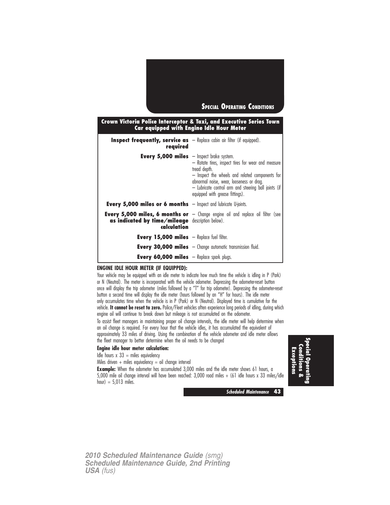

## **Crown Victoria Police Interceptor & Taxi, and Executive Series Town Car equipped with Engine Idle Hour Meter**

| <b>Inspect frequently, service as</b> $-$ Replace cabin air filter (if equipped).<br>reguired |                                                                                                                                                                                                                                                              |
|-----------------------------------------------------------------------------------------------|--------------------------------------------------------------------------------------------------------------------------------------------------------------------------------------------------------------------------------------------------------------|
| <b>Every 5,000 miles</b> $-$ Inspect brake system.                                            | - Rotate tires, inspect tires for wear and measure<br>tread depth.<br>- Inspect the wheels and related components for<br>abnormal noise, wear, looseness or drag.<br>- Lubricate control arm and steering ball joints (if<br>equipped with grease fittings). |
| <b>Every 5,000 miles or 6 months</b> $-$ Inspect and lubricate U-joints.                      |                                                                                                                                                                                                                                                              |
| as indicated by time/mileage description below).<br>calculation                               | <b>Every 5,000 miles, 6 months or</b> $-$ Change engine oil and replace oil filter (see                                                                                                                                                                      |
| <b>Every 15,000 miles</b> $-$ Replace fuel filter.                                            |                                                                                                                                                                                                                                                              |
|                                                                                               | <b>Every 30,000 miles</b> $-$ Change automatic transmission fluid.                                                                                                                                                                                           |
| <b>Every 60,000 miles</b> $-$ Replace spark plugs.                                            |                                                                                                                                                                                                                                                              |

### **ENGINE IDLE HOUR METER (IF EQUIPPED):**

Your vehicle may be equipped with an idle meter to indicate how much time the vehicle is idling in P (Park) or N (Neutral). The meter is incorporated with the vehicle odometer. Depressing the odometer-reset button once will display the trip odometer (miles followed by a "T" for trip odometer). Depressing the odometer-reset button a second time will display the idle meter (hours followed by an "H" for hours). The idle meter only accumulates time when the vehicle is in P (Park) or N (Neutral). Displayed time is cumulative for the vehicle. **It cannot be reset to zero.** Police/Fleet vehicles often experience long periods of idling, during which engine oil will continue to break down but mileage is not accumulated on the odometer.

To assist fleet managers in maintaining proper oil change intervals, the idle meter will help determine when an oil change is required. For every hour that the vehicle idles, it has accumulated the equivalent of approximately 33 miles of driving. Using the combination of the vehicle odometer and idle meter allows the fleet manager to better determine when the oil needs to be changed

## **Engine idle hour meter calculation:**

Idle hours  $x$  33 = miles equivalency

Miles driven  $+$  miles equivalency  $=$  oil change interval

**Example:** When the odometer has accumulated 3,000 miles and the idle meter shows 61 hours, a 5,000 mile oil change interval will have been reached: 3,000 road miles + (61 idle hours x 33 miles/idle hour) =  $5,013$  miles.

**SpecialOperating Conditions& Exceptions**

**Scheduled Maintenance 43**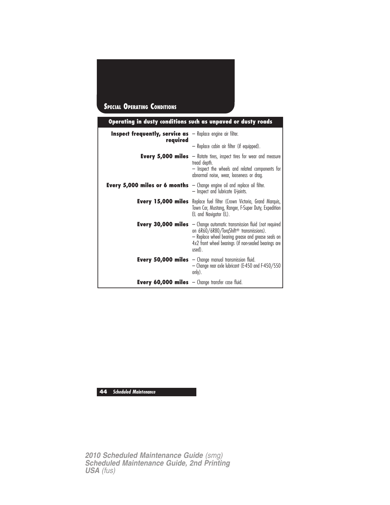# **SPECIAL OPERATING CONDITIONS**

|                                                                                    | Operating in dusty conditions such as unpaved or dusty roads                                                                                                                                                                                                   |  |
|------------------------------------------------------------------------------------|----------------------------------------------------------------------------------------------------------------------------------------------------------------------------------------------------------------------------------------------------------------|--|
| <b>Inspect frequently, service as</b> $-$ Replace engine air filter.               |                                                                                                                                                                                                                                                                |  |
| required                                                                           | - Replace cabin air filter (if equipped).                                                                                                                                                                                                                      |  |
|                                                                                    | <b>Every 5,000 miles</b> $-$ Rotate tires, inspect tires for wear and measure<br>tread depth.<br>- Inspect the wheels and related components for<br>abnormal noise, wear, looseness or drag.                                                                   |  |
| <b>Every 5,000 miles or 6 months</b> $-$ Change engine oil and replace oil filter. | - Inspect and lubricate U-joints.                                                                                                                                                                                                                              |  |
|                                                                                    | <b>Every 15,000 miles</b> Replace fuel filter (Crown Victoria, Grand Marquis,<br>Town Car, Mustang, Ranger, F-Super Duty, Expedition<br>EL and Navigator EL).                                                                                                  |  |
|                                                                                    | <b>Every 30,000 miles</b> $-$ Change automatic transmission fluid (not required<br>on 6R60/6R80/TorqShift <sup>®</sup> transmissions).<br>- Replace wheel bearing grease and grease seals on<br>4x2 front wheel bearings (if non-sealed bearings are<br>used). |  |
|                                                                                    | <b>Every 50,000 miles</b> $-$ Change manual transmission fluid.<br>- Change rear axle lubricant (E-450 and F-450/550<br>only).                                                                                                                                 |  |
| <b>Every 60,000 miles</b> $-$ Change transfer case fluid.                          |                                                                                                                                                                                                                                                                |  |

**44 Scheduled Maintenance**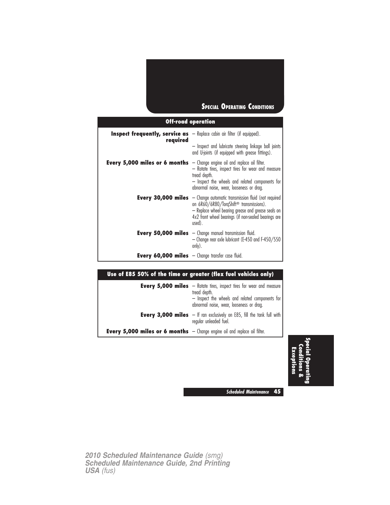## **SPECIAL OPERATING CONDITIONS**

## **Off-road operation**

| <b>Inspect frequently, service as</b> $-$ Replace cabin air filter (if equipped).<br>reguired |                                                                                                                                                                                                                                                                |
|-----------------------------------------------------------------------------------------------|----------------------------------------------------------------------------------------------------------------------------------------------------------------------------------------------------------------------------------------------------------------|
|                                                                                               | - Inspect and lubricate steering linkage ball joints<br>and U-joints (if equipped with grease fittings).                                                                                                                                                       |
| <b>Every 5,000 miles or 6 months</b> $-$ Change engine oil and replace oil filter.            | - Rotate tires, inspect tires for wear and measure<br>tread depth.<br>- Inspect the wheels and related components for<br>abnormal noise, wear, looseness or drag.                                                                                              |
|                                                                                               | <b>Every 30,000 miles</b> $-$ Change automatic transmission fluid (not required<br>on 6R60/6R80/TorqShift <sup>®</sup> transmissions).<br>- Replace wheel bearing grease and grease seals on<br>4x2 front wheel bearings (if non-sealed bearings are<br>used). |
|                                                                                               | <b>Every 50,000 miles</b> $-$ Change manual transmission fluid.<br>- Change rear axle lubricant (E-450 and F-450/550<br>only).                                                                                                                                 |
| <b>Every 60,000 miles</b> $-$ Change transfer case fluid.                                     |                                                                                                                                                                                                                                                                |

## **Use of E85 50% of the time or greater (flex fuel vehicles only)**

|                                                                                    | <b>Every 5,000 miles</b> - Rotate tires, inspect tires for wear and measure<br>tread depth.<br>- Inspect the wheels and related components for<br>abnormal noise, wear, looseness or drag. |
|------------------------------------------------------------------------------------|--------------------------------------------------------------------------------------------------------------------------------------------------------------------------------------------|
|                                                                                    | <b>Every 3,000 miles</b> $-$ If ran exclusively on E85, fill the tank full with<br>regular unleaded fuel.                                                                                  |
| <b>Every 5,000 miles or 6 months</b> $-$ Change engine oil and replace oil filter. |                                                                                                                                                                                            |

**Special.<br>尽 Conditions& Exceptions**

**Scheduled Maintenance 45**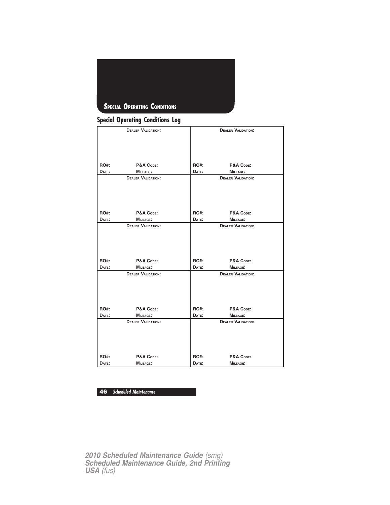

## **Special Operating Conditions Log**

|             | <b>DEALER VALIDATION:</b> |       | <b>DEALER VALIDATION:</b> |
|-------------|---------------------------|-------|---------------------------|
|             |                           |       |                           |
|             |                           |       |                           |
|             |                           |       |                           |
|             |                           |       |                           |
|             |                           |       |                           |
| <b>RO#:</b> | P&A CODE:                 | RO#:  | P&A CODE:                 |
| DATE:       | <b>MILEAGE:</b>           | DATE: | <b>MILEAGE:</b>           |
|             | <b>DEALER VALIDATION:</b> |       | <b>DEALER VALIDATION:</b> |
|             |                           |       |                           |
|             |                           |       |                           |
|             |                           |       |                           |
|             |                           |       |                           |
| <b>RO#:</b> | P&A CODE:                 | RO#:  | P&A CODE:                 |
| DATE:       |                           | DATE: | MILEAGE:                  |
|             | MILEAGE:                  |       |                           |
|             | <b>DEALER VALIDATION:</b> |       | <b>DEALER VALIDATION:</b> |
|             |                           |       |                           |
|             |                           |       |                           |
|             |                           |       |                           |
|             |                           |       |                           |
| <b>RO#:</b> | P&A CODE:                 | RO#:  | P&A CODE:                 |
| DATE:       | MILEAGE:                  | DATE: | <b>MILEAGE:</b>           |
|             | <b>DEALER VALIDATION:</b> |       | <b>DEALER VALIDATION:</b> |
|             |                           |       |                           |
|             |                           |       |                           |
|             |                           |       |                           |
|             |                           |       |                           |
|             |                           |       |                           |
| <b>RO#:</b> | P&A CODE:                 | RO#:  | P&A CODE:                 |
| DATE:       | MILEAGE:                  | DATE: | MILEAGE:                  |
|             | <b>DEALER VALIDATION:</b> |       | <b>DEALER VALIDATION:</b> |
|             |                           |       |                           |
|             |                           |       |                           |
|             |                           |       |                           |
|             |                           |       |                           |
|             |                           |       |                           |
| <b>RO#:</b> | P&A CODE:                 | RO#:  | P&A CODE:                 |
| DATE:       | <b>MILEAGE:</b>           | DATE: | <b>MILEAGE:</b>           |

**46 Scheduled Maintenance**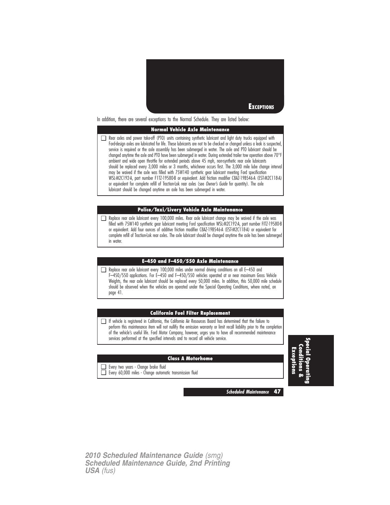

In addition, there are several exceptions to the Normal Schedule. They are listed below:

## **Normal Vehicle Axle Maintenance**

❑ Rear axles and power take-off (PTO) units containing synthetic lubricant and light duty trucks equipped with Ford-design axles are lubricated for life. These lubricants are not to be checked or changed unless a leak is suspected, service is required or the axle assembly has been submerged in water. The axle and PTO lubricant should be changed anytime the axle and PTO have been submerged in water. During extended trailer tow operation above 70°I ambient and wide open throttle for extended periods above 45 mph, non-synthetic rear axle lubricants should be replaced every 3,000 miles or 3 months, whichever occurs first. The 3,000 mile lube change interval may be waived if the axle was filled with 75W140 synthetic gear lubricant meeting Ford specification WSL-M2C192-A, part number F1TZ-19580-B or equivalent. Add friction modifier C8AZ-19B546-A (EST-M2C118-A) or equivalent for complete refill of Traction-Lok rear axles (see Owner's Guide for quantity). The axle lubricant should be changed anytime an axle has been submerged in water.

#### **Police/Taxi/Livery Vehicle Axle Maintenance**

❑ Replace rear axle lubricant every 100,000 miles. Rear axle lubricant change may be waived if the axle was filled with 75W140 synthetic gear lubricant meeting Ford specification WSL-M2C192-A, part number FITZ-19580-B or equivalent. Add four ounces of additive friction modifier C8AZ-19B546-A (EST-M2C118-A) or equivalent for complete refill of Traction-Lok rear axles. The axle lubricant should be changed anytime the axle has been submerged in water.

## **E–450 and F–450/550 Axle Maintenance**

❑ Replace rear axle lubricant every 100,000 miles under normal driving conditions on all E–450 and F–450/550 applications. For E–450 and F–450/550 vehicles operated at or near maximum Gross Vehicle Weights, the rear axle lubricant should be replaced every 50,000 miles. In addition, this 50,000 mile schedule should be observed when the vehicles are operated under the Special Operating Conditions, where noted, on page 41.

### **California Fuel Filter Replacement**

❑ If vehicle is registered in California, the California Air Resources Board has determined that the failure to perform this maintenance item will not nullify the emission warranty or limit recall liability prior to the completion of the vehicle's useful life. Ford Motor Company, however, urges you to have all recommended maintenance services performed at the specified intervals and to record all vehicle service.

### **Class A Motorhome**

- ❑ Every two years Change brake fluid
- ❑ Every 60,000 miles Change automatic transmission fluid

**Special Operating Conditions& Exceptions**

**Scheduled Maintenance 47**